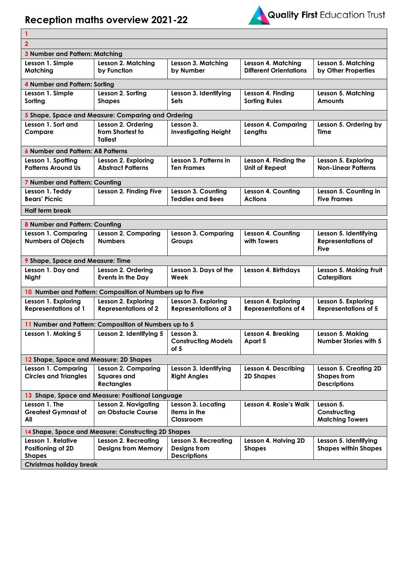## **Reception maths overview 2021-22**



| 1                                                     |                                                          |                                    |                               |                                                  |  |  |  |
|-------------------------------------------------------|----------------------------------------------------------|------------------------------------|-------------------------------|--------------------------------------------------|--|--|--|
| $\overline{2}$                                        |                                                          |                                    |                               |                                                  |  |  |  |
| 3 Number and Pattern: Matching                        |                                                          |                                    |                               |                                                  |  |  |  |
| Lesson 1. Simple                                      | Lesson 2. Matching                                       | Lesson 3. Matching                 | Lesson 4. Matching            | Lesson 5. Matching                               |  |  |  |
| Matching                                              | by Function                                              | by Number                          | <b>Different Orientations</b> | by Other Properties                              |  |  |  |
| 4 Number and Pattern: Sorting                         |                                                          |                                    |                               |                                                  |  |  |  |
| Lesson 1. Simple                                      | Lesson 2. Sorting                                        | Lesson 3. Identifying              | Lesson 4. Finding             | Lesson 5. Matching                               |  |  |  |
| Sorting                                               | <b>Shapes</b>                                            | Sets                               | <b>Sorting Rules</b>          | <b>Amounts</b>                                   |  |  |  |
| 5 Shape, Space and Measure: Comparing and Ordering    |                                                          |                                    |                               |                                                  |  |  |  |
| Lesson 1. Sort and                                    | Lesson 2. Ordering                                       | Lesson 3.                          | <b>Lesson 4. Comparing</b>    | Lesson 5. Ordering by                            |  |  |  |
| Compare                                               | from Shortest to<br><b>Tallest</b>                       | <b>Investigating Height</b>        | Lengths                       | Time                                             |  |  |  |
| <b>6 Number and Pattern: AB Patterns</b>              |                                                          |                                    |                               |                                                  |  |  |  |
| Lesson 1. Spotting                                    | Lesson 2. Exploring                                      | Lesson 3. Patterns in              | Lesson 4. Finding the         | Lesson 5. Exploring                              |  |  |  |
| <b>Patterns Around Us</b>                             | <b>Abstract Patterns</b>                                 | Ten Frames                         | <b>Unit of Repeat</b>         | <b>Non-Linear Patterns</b>                       |  |  |  |
| 7 Number and Pattern: Counting                        |                                                          |                                    |                               |                                                  |  |  |  |
| Lesson 1. Teddy                                       | Lesson 2. Finding Five                                   | Lesson 3. Counting                 | Lesson 4. Counting            | Lesson 5. Counting in                            |  |  |  |
| <b>Bears' Picnic</b>                                  |                                                          | <b>Teddies and Bees</b>            | <b>Actions</b>                | <b>Five Frames</b>                               |  |  |  |
| <b>Half term break</b>                                |                                                          |                                    |                               |                                                  |  |  |  |
| 8 Number and Pattern: Counting                        |                                                          |                                    |                               |                                                  |  |  |  |
| Lesson 1. Comparing                                   | <b>Lesson 2. Comparing</b>                               | <b>Lesson 3. Comparing</b>         | Lesson 4. Counting            | Lesson 5. Identifying                            |  |  |  |
| <b>Numbers of Objects</b>                             | <b>Numbers</b>                                           | Groups                             | with Towers                   | <b>Representations of</b><br><b>Five</b>         |  |  |  |
| 9 Shape, Space and Measure: Time                      |                                                          |                                    |                               |                                                  |  |  |  |
| Lesson 1. Day and<br><b>Night</b>                     | Lesson 2. Ordering<br>Events in the Day                  | Lesson 3. Days of the<br>Week      | Lesson 4. Birthdays           | Lesson 5. Making Fruit<br><b>Caterpillars</b>    |  |  |  |
|                                                       | 10 Number and Pattern: Composition of Numbers up to Five |                                    |                               |                                                  |  |  |  |
| Lesson 1. Exploring                                   | Lesson 2. Exploring                                      | Lesson 3. Exploring                | Lesson 4. Exploring           | Lesson 5. Exploring                              |  |  |  |
| <b>Representations of 1</b>                           | <b>Representations of 2</b>                              | <b>Representations of 3</b>        | <b>Representations of 4</b>   | <b>Representations of 5</b>                      |  |  |  |
| 11 Number and Pattern: Composition of Numbers up to 5 |                                                          |                                    |                               |                                                  |  |  |  |
| Lesson 1. Making 5                                    | Lesson 2. Identifying $5 \mid$ Lesson 3.                 | <b>Constructing Models</b><br>of 5 | Lesson 4. Breaking<br>Apart 5 | Lesson 5. Makina<br><b>Number Stories with 5</b> |  |  |  |
| 12 Shape, Space and Measure: 2D Shapes                |                                                          |                                    |                               |                                                  |  |  |  |
| Lesson 1. Comparing                                   | Lesson 2. Comparing                                      | Lesson 3. Identifying              | Lesson 4. Describing          | Lesson 5. Creating 2D                            |  |  |  |
| <b>Circles and Triangles</b>                          | <b>Squares and</b><br><b>Rectangles</b>                  | <b>Right Angles</b>                | 2D Shapes                     | <b>Shapes from</b><br><b>Descriptions</b>        |  |  |  |
| 13 Shape, Space and Measure: Positional Language      |                                                          |                                    |                               |                                                  |  |  |  |
| Lesson 1. The                                         | <b>Lesson 2. Navigating</b>                              | Lesson 3. Locating                 | Lesson 4. Rosie's Walk        | Lesson 5.                                        |  |  |  |
| <b>Greatest Gymnast of</b><br>All                     | an Obstacle Course                                       | Items in the<br>Classroom          |                               | Constructing<br><b>Matching Towers</b>           |  |  |  |
| 14 Shape, Space and Measure: Constructing 2D Shapes   |                                                          |                                    |                               |                                                  |  |  |  |
| Lesson 1. Relative                                    | <b>Lesson 2. Recreating</b>                              | Lesson 3. Recreating               | Lesson 4. Halving 2D          | Lesson 5. Identifying                            |  |  |  |
| Positioning of 2D                                     | <b>Designs from Memory</b>                               | Designs from                       | <b>Shapes</b>                 | <b>Shapes within Shapes</b>                      |  |  |  |
| <b>Shapes</b>                                         |                                                          | <b>Descriptions</b>                |                               |                                                  |  |  |  |
| <b>Christmas holiday break</b>                        |                                                          |                                    |                               |                                                  |  |  |  |